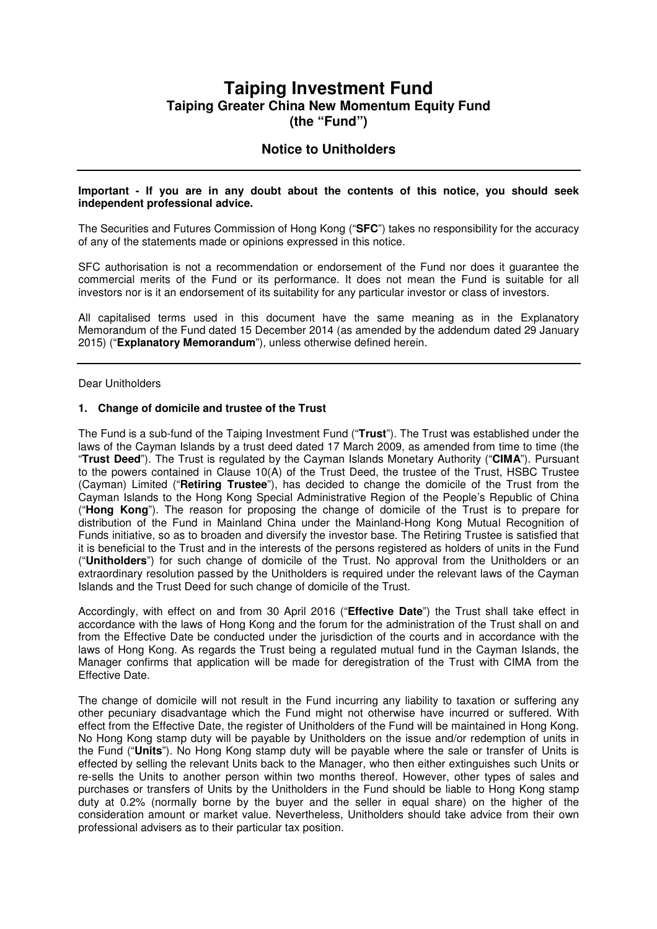# **Taiping Investment Fund Taiping Greater China New Momentum Equity Fund (the "Fund")**

## **Notice to Unitholders**

#### **Important - If you are in any doubt about the contents of this notice, you should seek independent professional advice.**

The Securities and Futures Commission of Hong Kong ("**SFC**") takes no responsibility for the accuracy of any of the statements made or opinions expressed in this notice.

SFC authorisation is not a recommendation or endorsement of the Fund nor does it guarantee the commercial merits of the Fund or its performance. It does not mean the Fund is suitable for all investors nor is it an endorsement of its suitability for any particular investor or class of investors.

All capitalised terms used in this document have the same meaning as in the Explanatory Memorandum of the Fund dated 15 December 2014 (as amended by the addendum dated 29 January 2015) ("**Explanatory Memorandum**"), unless otherwise defined herein.

#### Dear Unitholders

#### **1. Change of domicile and trustee of the Trust**

The Fund is a sub-fund of the Taiping Investment Fund ("**Trust**"). The Trust was established under the laws of the Cayman Islands by a trust deed dated 17 March 2009, as amended from time to time (the "**Trust Deed**"). The Trust is regulated by the Cayman Islands Monetary Authority ("**CIMA**"). Pursuant to the powers contained in Clause 10(A) of the Trust Deed, the trustee of the Trust, HSBC Trustee (Cayman) Limited ("**Retiring Trustee**"), has decided to change the domicile of the Trust from the Cayman Islands to the Hong Kong Special Administrative Region of the People's Republic of China ("**Hong Kong**"). The reason for proposing the change of domicile of the Trust is to prepare for distribution of the Fund in Mainland China under the Mainland-Hong Kong Mutual Recognition of Funds initiative, so as to broaden and diversify the investor base. The Retiring Trustee is satisfied that it is beneficial to the Trust and in the interests of the persons registered as holders of units in the Fund ("**Unitholders**") for such change of domicile of the Trust. No approval from the Unitholders or an extraordinary resolution passed by the Unitholders is required under the relevant laws of the Cayman Islands and the Trust Deed for such change of domicile of the Trust.

Accordingly, with effect on and from 30 April 2016 ("**Effective Date**") the Trust shall take effect in accordance with the laws of Hong Kong and the forum for the administration of the Trust shall on and from the Effective Date be conducted under the jurisdiction of the courts and in accordance with the laws of Hong Kong. As regards the Trust being a regulated mutual fund in the Cayman Islands, the Manager confirms that application will be made for deregistration of the Trust with CIMA from the Effective Date.

The change of domicile will not result in the Fund incurring any liability to taxation or suffering any other pecuniary disadvantage which the Fund might not otherwise have incurred or suffered. With effect from the Effective Date, the register of Unitholders of the Fund will be maintained in Hong Kong. No Hong Kong stamp duty will be payable by Unitholders on the issue and/or redemption of units in the Fund ("**Units**"). No Hong Kong stamp duty will be payable where the sale or transfer of Units is effected by selling the relevant Units back to the Manager, who then either extinguishes such Units or re-sells the Units to another person within two months thereof. However, other types of sales and purchases or transfers of Units by the Unitholders in the Fund should be liable to Hong Kong stamp duty at 0.2% (normally borne by the buyer and the seller in equal share) on the higher of the consideration amount or market value. Nevertheless, Unitholders should take advice from their own professional advisers as to their particular tax position.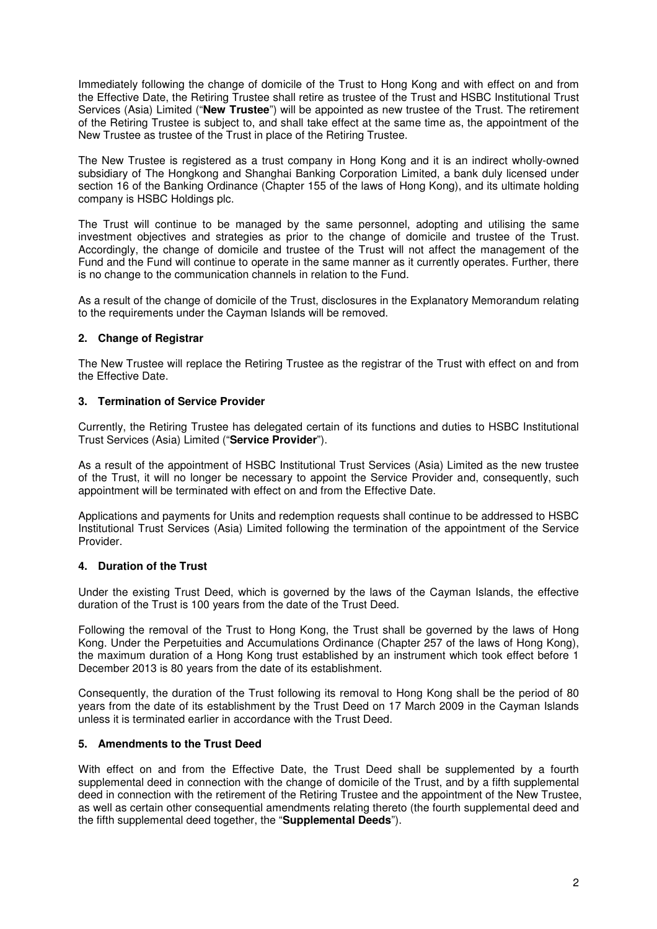Immediately following the change of domicile of the Trust to Hong Kong and with effect on and from the Effective Date, the Retiring Trustee shall retire as trustee of the Trust and HSBC Institutional Trust Services (Asia) Limited ("**New Trustee**") will be appointed as new trustee of the Trust. The retirement of the Retiring Trustee is subject to, and shall take effect at the same time as, the appointment of the New Trustee as trustee of the Trust in place of the Retiring Trustee.

The New Trustee is registered as a trust company in Hong Kong and it is an indirect wholly-owned subsidiary of The Hongkong and Shanghai Banking Corporation Limited, a bank duly licensed under section 16 of the Banking Ordinance (Chapter 155 of the laws of Hong Kong), and its ultimate holding company is HSBC Holdings plc.

The Trust will continue to be managed by the same personnel, adopting and utilising the same investment objectives and strategies as prior to the change of domicile and trustee of the Trust. Accordingly, the change of domicile and trustee of the Trust will not affect the management of the Fund and the Fund will continue to operate in the same manner as it currently operates. Further, there is no change to the communication channels in relation to the Fund.

As a result of the change of domicile of the Trust, disclosures in the Explanatory Memorandum relating to the requirements under the Cayman Islands will be removed.

## **2. Change of Registrar**

The New Trustee will replace the Retiring Trustee as the registrar of the Trust with effect on and from the Effective Date.

### **3. Termination of Service Provider**

Currently, the Retiring Trustee has delegated certain of its functions and duties to HSBC Institutional Trust Services (Asia) Limited ("**Service Provider**").

As a result of the appointment of HSBC Institutional Trust Services (Asia) Limited as the new trustee of the Trust, it will no longer be necessary to appoint the Service Provider and, consequently, such appointment will be terminated with effect on and from the Effective Date.

Applications and payments for Units and redemption requests shall continue to be addressed to HSBC Institutional Trust Services (Asia) Limited following the termination of the appointment of the Service Provider.

### **4. Duration of the Trust**

Under the existing Trust Deed, which is governed by the laws of the Cayman Islands, the effective duration of the Trust is 100 years from the date of the Trust Deed.

Following the removal of the Trust to Hong Kong, the Trust shall be governed by the laws of Hong Kong. Under the Perpetuities and Accumulations Ordinance (Chapter 257 of the laws of Hong Kong), the maximum duration of a Hong Kong trust established by an instrument which took effect before 1 December 2013 is 80 years from the date of its establishment.

Consequently, the duration of the Trust following its removal to Hong Kong shall be the period of 80 years from the date of its establishment by the Trust Deed on 17 March 2009 in the Cayman Islands unless it is terminated earlier in accordance with the Trust Deed.

### **5. Amendments to the Trust Deed**

With effect on and from the Effective Date, the Trust Deed shall be supplemented by a fourth supplemental deed in connection with the change of domicile of the Trust, and by a fifth supplemental deed in connection with the retirement of the Retiring Trustee and the appointment of the New Trustee, as well as certain other consequential amendments relating thereto (the fourth supplemental deed and the fifth supplemental deed together, the "**Supplemental Deeds**").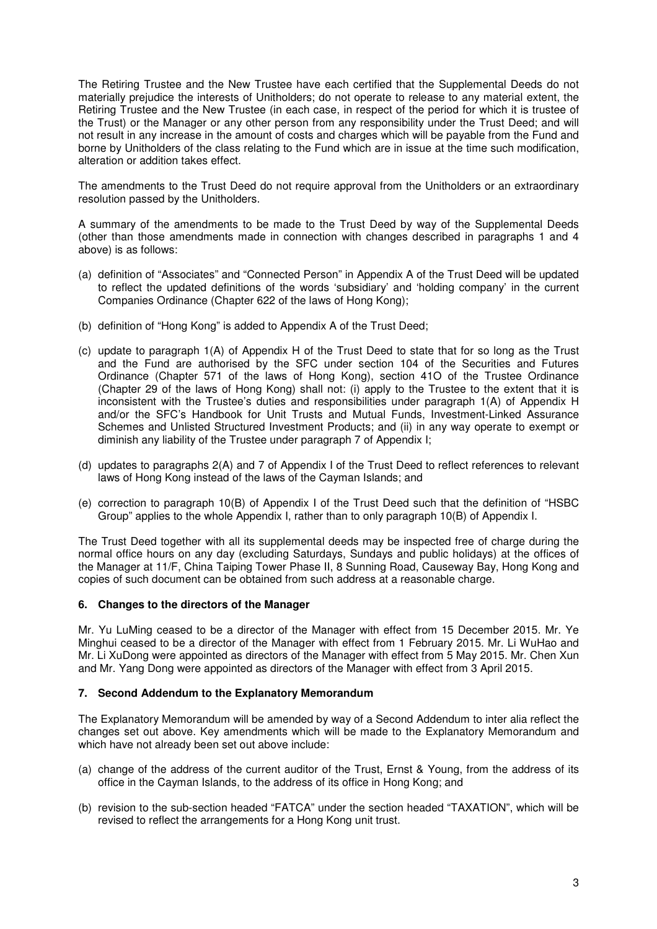The Retiring Trustee and the New Trustee have each certified that the Supplemental Deeds do not materially prejudice the interests of Unitholders; do not operate to release to any material extent, the Retiring Trustee and the New Trustee (in each case, in respect of the period for which it is trustee of the Trust) or the Manager or any other person from any responsibility under the Trust Deed; and will not result in any increase in the amount of costs and charges which will be payable from the Fund and borne by Unitholders of the class relating to the Fund which are in issue at the time such modification, alteration or addition takes effect.

The amendments to the Trust Deed do not require approval from the Unitholders or an extraordinary resolution passed by the Unitholders.

A summary of the amendments to be made to the Trust Deed by way of the Supplemental Deeds (other than those amendments made in connection with changes described in paragraphs 1 and 4 above) is as follows:

- (a) definition of "Associates" and "Connected Person" in Appendix A of the Trust Deed will be updated to reflect the updated definitions of the words 'subsidiary' and 'holding company' in the current Companies Ordinance (Chapter 622 of the laws of Hong Kong);
- (b) definition of "Hong Kong" is added to Appendix A of the Trust Deed;
- (c) update to paragraph 1(A) of Appendix H of the Trust Deed to state that for so long as the Trust and the Fund are authorised by the SFC under section 104 of the Securities and Futures Ordinance (Chapter 571 of the laws of Hong Kong), section 41O of the Trustee Ordinance (Chapter 29 of the laws of Hong Kong) shall not: (i) apply to the Trustee to the extent that it is inconsistent with the Trustee's duties and responsibilities under paragraph 1(A) of Appendix H and/or the SFC's Handbook for Unit Trusts and Mutual Funds, Investment-Linked Assurance Schemes and Unlisted Structured Investment Products; and (ii) in any way operate to exempt or diminish any liability of the Trustee under paragraph 7 of Appendix I;
- (d) updates to paragraphs 2(A) and 7 of Appendix I of the Trust Deed to reflect references to relevant laws of Hong Kong instead of the laws of the Cayman Islands; and
- (e) correction to paragraph 10(B) of Appendix I of the Trust Deed such that the definition of "HSBC Group" applies to the whole Appendix I, rather than to only paragraph 10(B) of Appendix I.

The Trust Deed together with all its supplemental deeds may be inspected free of charge during the normal office hours on any day (excluding Saturdays, Sundays and public holidays) at the offices of the Manager at 11/F, China Taiping Tower Phase II, 8 Sunning Road, Causeway Bay, Hong Kong and copies of such document can be obtained from such address at a reasonable charge.

#### **6. Changes to the directors of the Manager**

Mr. Yu LuMing ceased to be a director of the Manager with effect from 15 December 2015. Mr. Ye Minghui ceased to be a director of the Manager with effect from 1 February 2015. Mr. Li WuHao and Mr. Li XuDong were appointed as directors of the Manager with effect from 5 May 2015. Mr. Chen Xun and Mr. Yang Dong were appointed as directors of the Manager with effect from 3 April 2015.

### **7. Second Addendum to the Explanatory Memorandum**

The Explanatory Memorandum will be amended by way of a Second Addendum to inter alia reflect the changes set out above. Key amendments which will be made to the Explanatory Memorandum and which have not already been set out above include:

- (a) change of the address of the current auditor of the Trust, Ernst & Young, from the address of its office in the Cayman Islands, to the address of its office in Hong Kong; and
- (b) revision to the sub-section headed "FATCA" under the section headed "TAXATION", which will be revised to reflect the arrangements for a Hong Kong unit trust.